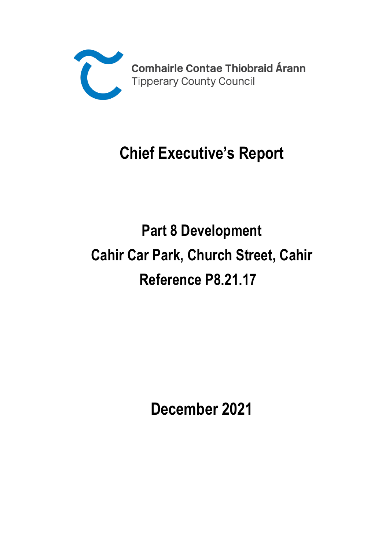

# **Chief Executive's Report**

# **Part 8 Development Cahir Car Park, Church Street, Cahir Reference P8.21.17**

**December 2021**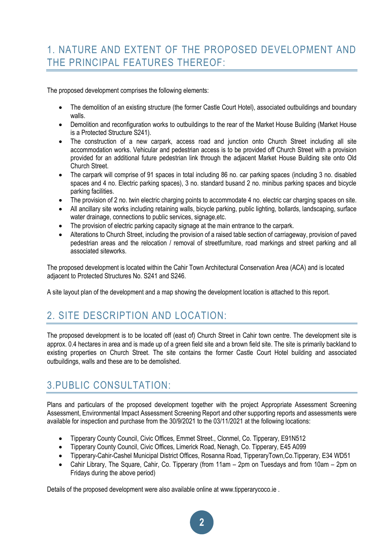# 1. NATURE AND EXTENT OF THE PROPOSED DEVELOPMENT AND THE PRINCIPAL FEATURES THEREOF:

The proposed development comprises the following elements:

- The demolition of an existing structure (the former Castle Court Hotel), associated outbuildings and boundary walls.
- Demolition and reconfiguration works to outbuildings to the rear of the Market House Building (Market House is a Protected Structure S241).
- The construction of a new carpark, access road and junction onto Church Street including all site accommodation works. Vehicular and pedestrian access is to be provided off Church Street with a provision provided for an additional future pedestrian link through the adjacent Market House Building site onto Old Church Street.
- The carpark will comprise of 91 spaces in total including 86 no. car parking spaces (including 3 no. disabled spaces and 4 no. Electric parking spaces), 3 no. standard busand 2 no. minibus parking spaces and bicycle parking facilities.
- The provision of 2 no. twin electric charging points to accommodate 4 no. electric car charging spaces on site.
- All ancillary site works including retaining walls, bicycle parking, public lighting, bollards, landscaping, surface water drainage, connections to public services, signage,etc.
- The provision of electric parking capacity signage at the main entrance to the carpark.
- Alterations to Church Street, including the provision of a raised table section of carriageway, provision of paved pedestrian areas and the relocation / removal of streetfurniture, road markings and street parking and all associated siteworks.

The proposed development is located within the Cahir Town Architectural Conservation Area (ACA) and is located adjacent to Protected Structures No. S241 and S246.

A site layout plan of the development and a map showing the development location is attached to this report.

# 2. SITE DESCRIPTION AND LOCATION:

The proposed development is to be located off (east of) Church Street in Cahir town centre. The development site is approx. 0.4 hectares in area and is made up of a green field site and a brown field site. The site is primarily backland to existing properties on Church Street. The site contains the former Castle Court Hotel building and associated outbuildings, walls and these are to be demolished.

# 3.PUBLIC CONSULTATION:

Plans and particulars of the proposed development together with the project Appropriate Assessment Screening Assessment, Environmental Impact Assessment Screening Report and other supporting reports and assessments were available for inspection and purchase from the 30/9/2021 to the 03/11/2021 at the following locations:

- Tipperary County Council, Civic Offices, Emmet Street., Clonmel, Co. Tipperary, E91N512
- Tipperary County Council, Civic Offices, Limerick Road, Nenagh, Co. Tipperary, E45 A099
- Tipperary-Cahir-Cashel Municipal District Offices, Rosanna Road, TipperaryTown,Co.Tipperary, E34 WD51
- Cahir Library, The Square, Cahir, Co. Tipperary (from 11am 2pm on Tuesdays and from 10am 2pm on Fridays during the above period)

Details of the proposed development were also available online at [www.tipperarycoco.ie](http://www.tipperarycoco.ie/) .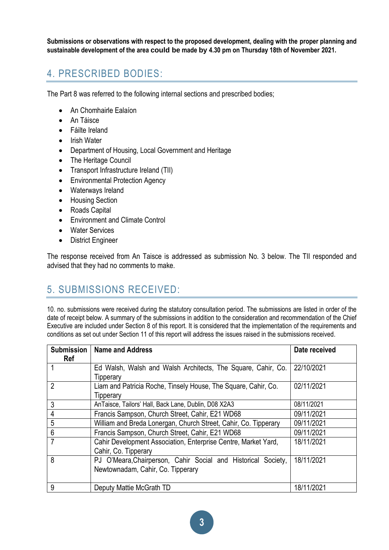**Submissions or observations with respect to the proposed development, dealing with the proper planning and sustainable development of the area could be made by 4.30 pm on Thursday 18th of November 2021.**

# 4. PRESCRIBED BODIES:

The Part 8 was referred to the following internal sections and prescribed bodies;

- An Chomhairle Ealaíon
- An Táisce
- Fáilte Ireland
- Irish Water
- Department of Housing, Local Government and Heritage
- The Heritage Council
- Transport Infrastructure Ireland (TII)
- Environmental Protection Agency
- Waterways Ireland
- Housing Section
- Roads Capital
- Environment and Climate Control
- Water Services
- District Engineer

The response received from An Taisce is addressed as submission No. 3 below. The TII responded and advised that they had no comments to make.

# 5. SUBMISSIONS RECEIVED:

10. no. submissions were received during the statutory consultation period. The submissions are listed in order of the date of receipt below. A summary of the submissions in addition to the consideration and recommendation of the Chief Executive are included under Section 8 of this report. It is considered that the implementation of the requirements and conditions as set out under Section 11 of this report will address the issues raised in the submissions received.

| <b>Submission</b><br>Ref | <b>Name and Address</b>                                                                            | Date received |
|--------------------------|----------------------------------------------------------------------------------------------------|---------------|
|                          | Ed Walsh, Walsh and Walsh Architects, The Square, Cahir, Co.<br>Tipperary                          | 22/10/2021    |
| $\overline{2}$           | Liam and Patricia Roche, Tinsely House, The Square, Cahir, Co.<br>Tipperary                        | 02/11/2021    |
| 3                        | AnTaisce, Tailors' Hall, Back Lane, Dublin, D08 X2A3                                               | 08/11/2021    |
| 4                        | Francis Sampson, Church Street, Cahir, E21 WD68                                                    | 09/11/2021    |
| 5                        | William and Breda Lonergan, Church Street, Cahir, Co. Tipperary                                    | 09/11/2021    |
| $6\phantom{1}$           | Francis Sampson, Church Street, Cahir, E21 WD68                                                    | 09/11/2021    |
| $\overline{7}$           | Cahir Development Association, Enterprise Centre, Market Yard,<br>Cahir, Co. Tipperary             | 18/11/2021    |
| 8                        | PJ O'Meara, Chairperson, Cahir Social and Historical Society,<br>Newtownadam, Cahir, Co. Tipperary | 18/11/2021    |
| 9                        | Deputy Mattie McGrath TD                                                                           | 18/11/2021    |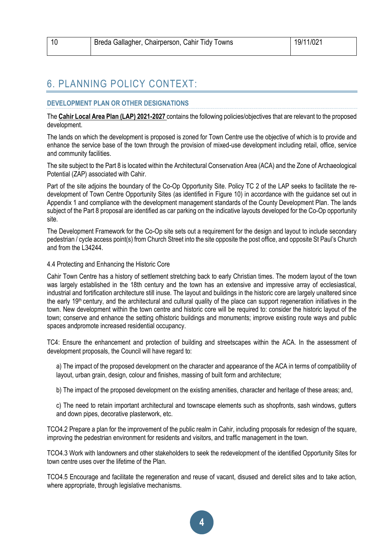| 10 | Breda Gallagher, Chairperson, Cahir Tidy Towns | 19/11/021 |
|----|------------------------------------------------|-----------|
|    |                                                |           |

# 6. PLANNING POLICY CONTEXT:

### **DEVELOPMENT PLAN OR OTHER DESIGNATIONS**

The **Cahir Local Area Plan (LAP) 2021-2027** contains the following policies/objectives that are relevant to the proposed development.

The lands on which the development is proposed is zoned for Town Centre use the objective of which is to provide and enhance the service base of the town through the provision of mixed-use development including retail, office, service and community facilities.

The site subject to the Part 8 is located within the Architectural Conservation Area (ACA) and the Zone of Archaeological Potential (ZAP) associated with Cahir.

Part of the site adjoins the boundary of the Co-Op Opportunity Site. Policy TC 2 of the LAP seeks to facilitate the redevelopment of Town Centre Opportunity Sites (as identified in Figure 10) in accordance with the guidance set out in Appendix 1 and compliance with the development management standards of the County Development Plan. The lands subject of the Part 8 proposal are identified as car parking on the indicative layouts developed for the Co-Op opportunity site.

The Development Framework for the Co-Op site sets out a requirement for the design and layout to include secondary pedestrian / cycle access point(s) from Church Street into the site opposite the post office, and opposite St Paul's Church and from the  $l$  34244

### 4.4 Protecting and Enhancing the Historic Core

Cahir Town Centre has a history of settlement stretching back to early Christian times. The modern layout of the town was largely established in the 18th century and the town has an extensive and impressive array of ecclesiastical, industrial and fortification architecture still inuse. The layout and buildings in the historic core are largely unaltered since the early 19<sup>th</sup> century, and the architectural and cultural quality of the place can support regeneration initiatives in the town. New development within the town centre and historic core will be required to: consider the historic layout of the town; conserve and enhance the setting ofhistoric buildings and monuments; improve existing route ways and public spaces andpromote increased residential occupancy.

TC4: Ensure the enhancement and protection of building and streetscapes within the ACA. In the assessment of development proposals, the Council will have regard to:

a) The impact of the proposed development on the character and appearance of the ACA in terms of compatibility of layout, urban grain, design, colour and finishes, massing of built form and architecture;

b) The impact of the proposed development on the existing amenities, character and heritage of these areas; and,

c) The need to retain important architectural and townscape elements such as shopfronts, sash windows, gutters and down pipes, decorative plasterwork, etc.

TCO4.2 Prepare a plan for the improvement of the public realm in Cahir, including proposals for redesign of the square, improving the pedestrian environment for residents and visitors, and traffic management in the town.

TCO4.3 Work with landowners and other stakeholders to seek the redevelopment of the identified Opportunity Sites for town centre uses over the lifetime of the Plan.

TCO4.5 Encourage and facilitate the regeneration and reuse of vacant, disused and derelict sites and to take action, where appropriate, through legislative mechanisms.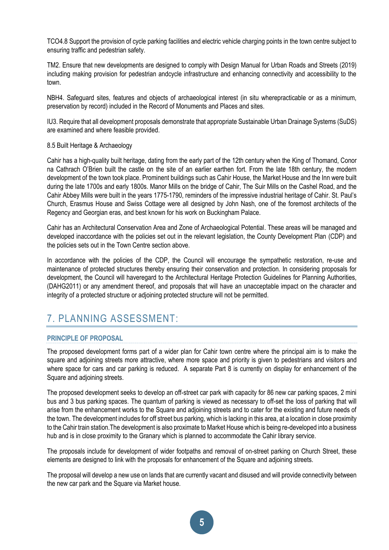TCO4.8 Support the provision of cycle parking facilities and electric vehicle charging points in the town centre subject to ensuring traffic and pedestrian safety.

TM2. Ensure that new developments are designed to comply with Design Manual for Urban Roads and Streets (2019) including making provision for pedestrian andcycle infrastructure and enhancing connectivity and accessibility to the town.

NBH4. Safeguard sites, features and objects of archaeological interest (in situ wherepracticable or as a minimum, preservation by record) included in the Record of Monuments and Places and sites.

IU3. Require that all development proposals demonstrate that appropriate Sustainable Urban Drainage Systems (SuDS) are examined and where feasible provided.

#### 8.5 Built Heritage & Archaeology

Cahir has a high-quality built heritage, dating from the early part of the 12th century when the King of Thomand, Conor na Cathrach O'Brien built the castle on the site of an earlier earthen fort. From the late 18th century, the modern development of the town took place. Prominent buildings such as Cahir House, the Market House and the Inn were built during the late 1700s and early 1800s. Manor Mills on the bridge of Cahir, The Suir Mills on the Cashel Road, and the Cahir Abbey Mills were built in the years 1775-1790, reminders of the impressive industrial heritage of Cahir. St. Paul's Church, Erasmus House and Swiss Cottage were all designed by John Nash, one of the foremost architects of the Regency and Georgian eras, and best known for his work on Buckingham Palace.

Cahir has an Architectural Conservation Area and Zone of Archaeological Potential. These areas will be managed and developed inaccordance with the policies set out in the relevant legislation, the County Development Plan (CDP) and the policies sets out in the Town Centre section above.

In accordance with the policies of the CDP, the Council will encourage the sympathetic restoration, re-use and maintenance of protected structures thereby ensuring their conservation and protection. In considering proposals for development, the Council will haveregard to the Architectural Heritage Protection Guidelines for Planning Authorities, (DAHG2011) or any amendment thereof, and proposals that will have an unacceptable impact on the character and integrity of a protected structure or adjoining protected structure will not be permitted.

# 7. PLANNING ASSESSMENT:

# **PRINCIPLE OF PROPOSAL**

The proposed development forms part of a wider plan for Cahir town centre where the principal aim is to make the square and adjoining streets more attractive, where more space and priority is given to pedestrians and visitors and where space for cars and car parking is reduced. A separate Part 8 is currently on display for enhancement of the Square and adjoining streets.

The proposed development seeks to develop an off-street car park with capacity for 86 new car parking spaces, 2 mini bus and 3 bus parking spaces. The quantum of parking is viewed as necessary to off-set the loss of parking that will arise from the enhancement works to the Square and adjoining streets and to cater for the existing and future needs of the town. The development includes for off street bus parking, which is lacking in this area, at a location in close proximity to the Cahir train station.The development is also proximate to Market House which is being re-developed into a business hub and is in close proximity to the Granary which is planned to accommodate the Cahir library service.

The proposals include for development of wider footpaths and removal of on-street parking on Church Street, these elements are designed to link with the proposals for enhancement of the Square and adjoining streets.

The proposal will develop a new use on lands that are currently vacant and disused and will provide connectivity between the new car park and the Square via Market house.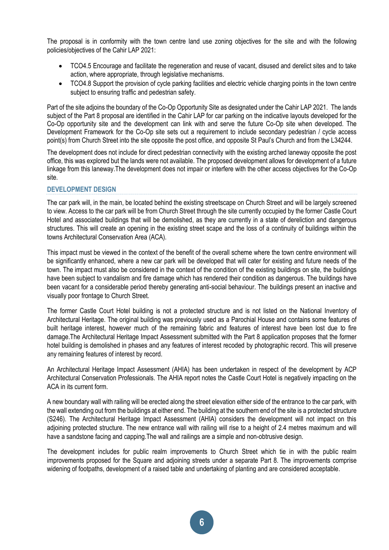The proposal is in conformity with the town centre land use zoning objectives for the site and with the following policies/objectives of the Cahir LAP 2021:

- TCO4.5 Encourage and facilitate the regeneration and reuse of vacant, disused and derelict sites and to take action, where appropriate, through legislative mechanisms.
- TCO4.8 Support the provision of cycle parking facilities and electric vehicle charging points in the town centre subject to ensuring traffic and pedestrian safety.

Part of the site adjoins the boundary of the Co-Op Opportunity Site as designated under the Cahir LAP 2021. The lands subject of the Part 8 proposal are identified in the Cahir LAP for car parking on the indicative layouts developed for the Co-Op opportunity site and the development can link with and serve the future Co-Op site when developed. The Development Framework for the Co-Op site sets out a requirement to include secondary pedestrian / cycle access point(s) from Church Street into the site opposite the post office, and opposite St Paul's Church and from the L34244.

The development does not include for direct pedestrian connectivity with the existing arched laneway opposite the post office, this was explored but the lands were not available. The proposed development allows for development of a future linkage from this laneway.The development does not impair or interfere with the other access objectives for the Co-Op site.

### **DEVELOPMENT DESIGN**

The car park will, in the main, be located behind the existing streetscape on Church Street and will be largely screened to view. Access to the car park will be from Church Street through the site currently occupied by the former Castle Court Hotel and associated buildings that will be demolished, as they are currently in a state of dereliction and dangerous structures. This will create an opening in the existing street scape and the loss of a continuity of buildings within the towns Architectural Conservation Area (ACA).

This impact must be viewed in the context of the benefit of the overall scheme where the town centre environment will be significantly enhanced, where a new car park will be developed that will cater for existing and future needs of the town. The impact must also be considered in the context of the condition of the existing buildings on site, the buildings have been subject to vandalism and fire damage which has rendered their condition as dangerous. The buildings have been vacant for a considerable period thereby generating anti-social behaviour. The buildings present an inactive and visually poor frontage to Church Street.

The former Castle Court Hotel building is not a protected structure and is not listed on the National Inventory of Architectural Heritage. The original building was previously used as a Parochial House and contains some features of built heritage interest, however much of the remaining fabric and features of interest have been lost due to fire damage.The Architectural Heritage Impact Assessment submitted with the Part 8 application proposes that the former hotel building is demolished in phases and any features of interest recoded by photographic record. This will preserve any remaining features of interest by record.

An Architectural Heritage Impact Assessment (AHIA) has been undertaken in respect of the development by ACP Architectural Conservation Professionals. The AHIA report notes the Castle Court Hotel is negatively impacting on the ACA in its current form.

A new boundary wall with railing will be erected along the street elevation either side of the entrance to the car park, with the wall extending out from the buildings at either end. The building at the southern end of the site is a protected structure (S246). The Architectural Heritage Impact Assessment (AHIA) considers the development will not impact on this adjoining protected structure. The new entrance wall with railing will rise to a height of 2.4 metres maximum and will have a sandstone facing and capping.The wall and railings are a simple and non-obtrusive design.

The development includes for public realm improvements to Church Street which tie in with the public realm improvements proposed for the Square and adjoining streets under a separate Part 8. The improvements comprise widening of footpaths, development of a raised table and undertaking of planting and are considered acceptable.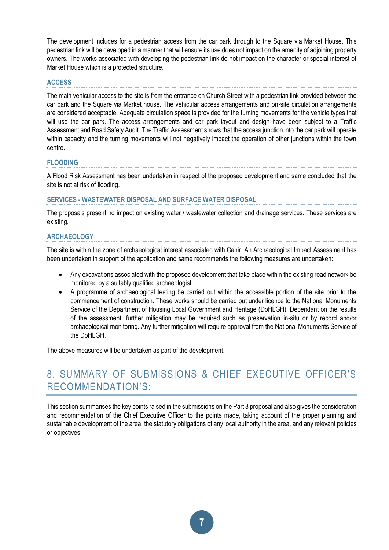The development includes for a pedestrian access from the car park through to the Square via Market House. This pedestrian link will be developed in a manner that will ensure its use does not impact on the amenity of adjoining property owners. The works associated with developing the pedestrian link do not impact on the character or special interest of Market House which is a protected structure.

### **ACCESS**

The main vehicular access to the site is from the entrance on Church Street with a pedestrian link provided between the car park and the Square via Market house. The vehicular access arrangements and on-site circulation arrangements are considered acceptable. Adequate circulation space is provided for the turning movements for the vehicle types that will use the car park. The access arrangements and car park layout and design have been subject to a Traffic Assessment and Road Safety Audit. The Traffic Assessment shows that the access junction into the car park will operate within capacity and the turning movements will not negatively impact the operation of other junctions within the town centre.

# **FLOODING**

A Flood Risk Assessment has been undertaken in respect of the proposed development and same concluded that the site is not at risk of flooding.

#### **SERVICES - WASTEWATER DISPOSAL AND SURFACE WATER DISPOSAL**

The proposals present no impact on existing water / wastewater collection and drainage services. These services are existing.

# **ARCHAEOLOGY**

The site is within the zone of archaeological interest associated with Cahir. An Archaeological Impact Assessment has been undertaken in support of the application and same recommends the following measures are undertaken:

- Any excavations associated with the proposed development that take place within the existing road network be monitored by a suitably qualified archaeologist.
- A programme of archaeological testing be carried out within the accessible portion of the site prior to the commencement of construction. These works should be carried out under licence to the National Monuments Service of the Department of Housing Local Government and Heritage (DoHLGH). Dependant on the results of the assessment, further mitigation may be required such as preservation in-situ or by record and/or archaeological monitoring. Any further mitigation will require approval from the National Monuments Service of the DoHLGH.

The above measures will be undertaken as part of the development.

# 8. SUMMARY OF SUBMISSIONS & CHIEF EXECUTIVE OFFICER'S RECOMMENDATION'S:

This section summarises the key points raised in the submissions on the Part 8 proposal and also gives the consideration and recommendation of the Chief Executive Officer to the points made, taking account of the proper planning and sustainable development of the area, the statutory obligations of any local authority in the area, and any relevant policies or objectives.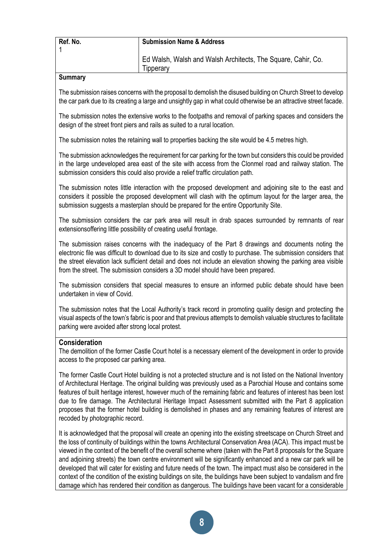| Ref. No.       | <b>Submission Name &amp; Address</b>                                              |
|----------------|-----------------------------------------------------------------------------------|
|                | Ed Walsh, Walsh and Walsh Architects, The Square, Cahir, Co.<br><b>I</b> ipperary |
| $S_{11}$ mmari |                                                                                   |

### **Summary**

The submission raises concerns with the proposal to demolish the disused building on Church Street to develop the car park due to its creating a large and unsightly gap in what could otherwise be an attractive street facade.

The submission notes the extensive works to the footpaths and removal of parking spaces and considers the design of the street front piers and rails as suited to a rural location.

The submission notes the retaining wall to properties backing the site would be 4.5 metres high.

The submission acknowledges the requirement for car parking for the town but considers this could be provided in the large undeveloped area east of the site with access from the Clonmel road and railway station. The submission considers this could also provide a relief traffic circulation path.

The submission notes little interaction with the proposed development and adjoining site to the east and considers it possible the proposed development will clash with the optimum layout for the larger area, the submission suggests a masterplan should be prepared for the entire Opportunity Site.

The submission considers the car park area will result in drab spaces surrounded by remnants of rear extensionsoffering little possibility of creating useful frontage.

The submission raises concerns with the inadequacy of the Part 8 drawings and documents noting the electronic file was difficult to download due to its size and costly to purchase. The submission considers that the street elevation lack sufficient detail and does not include an elevation showing the parking area visible from the street. The submission considers a 3D model should have been prepared.

The submission considers that special measures to ensure an informed public debate should have been undertaken in view of Covid.

The submission notes that the Local Authority's track record in promoting quality design and protecting the visual aspects of the town's fabric is poor and that previous attempts to demolish valuable structures to facilitate parking were avoided after strong local protest.

# **Consideration**

The demolition of the former Castle Court hotel is a necessary element of the development in order to provide access to the proposed car parking area.

The former Castle Court Hotel building is not a protected structure and is not listed on the National Inventory of Architectural Heritage. The original building was previously used as a Parochial House and contains some features of built heritage interest, however much of the remaining fabric and features of interest has been lost due to fire damage. The Architectural Heritage Impact Assessment submitted with the Part 8 application proposes that the former hotel building is demolished in phases and any remaining features of interest are recoded by photographic record.

It is acknowledged that the proposal will create an opening into the existing streetscape on Church Street and the loss of continuity of buildings within the towns Architectural Conservation Area (ACA). This impact must be viewed in the context of the benefit of the overall scheme where (taken with the Part 8 proposals for the Square and adjoining streets) the town centre environment will be significantly enhanced and a new car park will be developed that will cater for existing and future needs of the town. The impact must also be considered in the context of the condition of the existing buildings on site, the buildings have been subject to vandalism and fire damage which has rendered their condition as dangerous. The buildings have been vacant for a considerable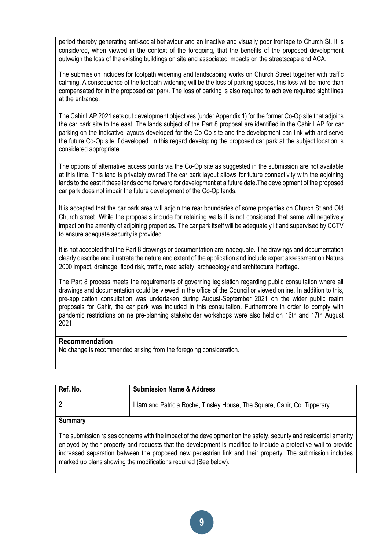period thereby generating anti-social behaviour and an inactive and visually poor frontage to Church St. It is considered, when viewed in the context of the foregoing, that the benefits of the proposed development outweigh the loss of the existing buildings on site and associated impacts on the streetscape and ACA.

The submission includes for footpath widening and landscaping works on Church Street together with traffic calming. A consequence of the footpath widening will be the loss of parking spaces, this loss will be more than compensated for in the proposed car park. The loss of parking is also required to achieve required sight lines at the entrance.

The Cahir LAP 2021 sets out development objectives (under Appendix 1) for the former Co-Op site that adjoins the car park site to the east. The lands subject of the Part 8 proposal are identified in the Cahir LAP for car parking on the indicative layouts developed for the Co-Op site and the development can link with and serve the future Co-Op site if developed. In this regard developing the proposed car park at the subject location is considered appropriate.

The options of alternative access points via the Co-Op site as suggested in the submission are not available at this time. This land is privately owned.The car park layout allows for future connectivity with the adjoining lands to the east if these lands come forward for development at a future date.The development of the proposed car park does not impair the future development of the Co-Op lands.

It is accepted that the car park area will adjoin the rear boundaries of some properties on Church St and Old Church street. While the proposals include for retaining walls it is not considered that same will negatively impact on the amenity of adjoining properties. The car park itself will be adequately lit and supervised by CCTV to ensure adequate security is provided.

It is not accepted that the Part 8 drawings or documentation are inadequate. The drawings and documentation clearly describe and illustrate the nature and extent of the application and include expert assessment on Natura 2000 impact, drainage, flood risk, traffic, road safety, archaeology and architectural heritage.

The Part 8 process meets the requirements of governing legislation regarding public consultation where all drawings and documentation could be viewed in the office of the Council or viewed online. In addition to this, pre-application consultation was undertaken during August-September 2021 on the wider public realm proposals for Cahir, the car park was included in this consultation. Furthermore in order to comply with pandemic restrictions online pre-planning stakeholder workshops were also held on 16th and 17th August 2021.

# **Recommendation**

No change is recommended arising from the foregoing consideration.

| Ref. No.       | <b>Submission Name &amp; Address</b>                                     |
|----------------|--------------------------------------------------------------------------|
|                | Liam and Patricia Roche, Tinsley House, The Square, Cahir, Co. Tipperary |
| <b>Summary</b> |                                                                          |

The submission raises concerns with the impact of the development on the safety, security and residential amenity enjoyed by their property and requests that the development is modified to include a protective wall to provide increased separation between the proposed new pedestrian link and their property. The submission includes marked up plans showing the modifications required (See below).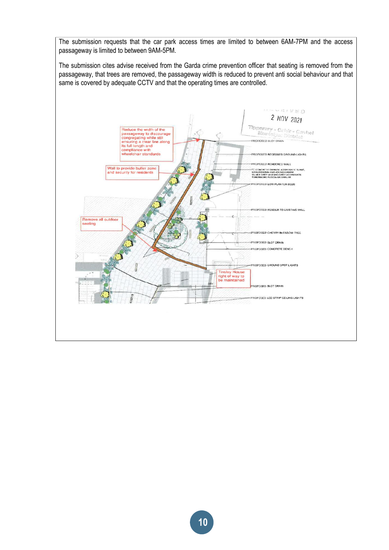The submission requests that the car park access times are limited to between 6AM-7PM and the access passageway is limited to between 9AM-5PM.

The submission cites advise received from the Garda crime prevention officer that seating is removed from the passageway, that trees are removed, the passageway width is reduced to prevent anti social behaviour and that same is covered by adequate CCTV and that the operating times are controlled.

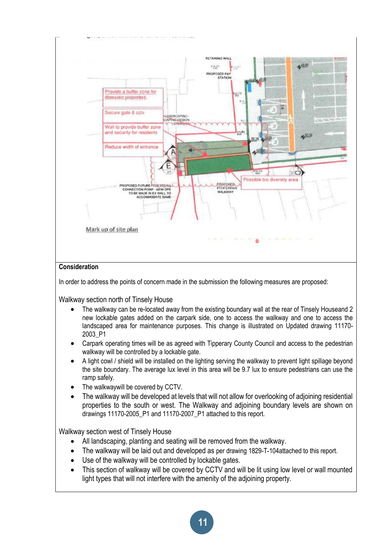

**11**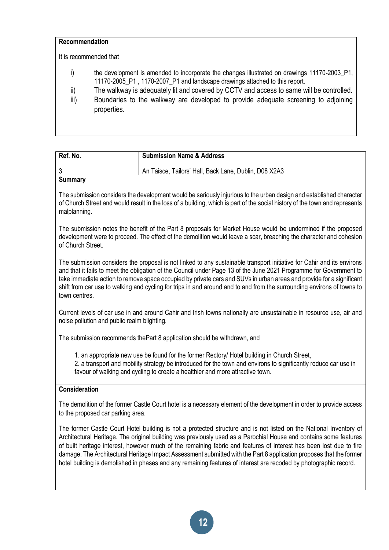| Recommendation |                                                                                                                                                                             |
|----------------|-----------------------------------------------------------------------------------------------------------------------------------------------------------------------------|
|                | It is recommended that                                                                                                                                                      |
| i)             | the development is amended to incorporate the changes illustrated on drawings 11170-2003 P1,<br>11170-2005_P1, 1170-2007_P1 and landscape drawings attached to this report. |
| ii)            | The walkway is adequately lit and covered by CCTV and access to same will be controlled.                                                                                    |
| iii)           | Boundaries to the walkway are developed to provide adequate screening to adjoining<br>properties.                                                                           |

| Ref. No. | <b>Submission Name &amp; Address</b>                  |
|----------|-------------------------------------------------------|
|          | An Taisce, Tailors' Hall, Back Lane, Dublin, D08 X2A3 |
| Summary  |                                                       |

The submission considers the development would be seriously injurious to the urban design and established character of Church Street and would result in the loss of a building, which is part of the social history of the town and represents malplanning.

The submission notes the benefit of the Part 8 proposals for Market House would be undermined if the proposed development were to proceed. The effect of the demolition would leave a scar, breaching the character and cohesion of Church Street.

The submission considers the proposal is not linked to any sustainable transport initiative for Cahir and its environs and that it fails to meet the obligation of the Council under Page 13 of the June 2021 Programme for Government to take immediate action to remove space occupied by private cars and SUVs in urban areas and provide for a significant shift from car use to walking and cycling for trips in and around and to and from the surrounding environs of towns to town centres.

Current levels of car use in and around Cahir and Irish towns nationally are unsustainable in resource use, air and noise pollution and public realm blighting.

The submission recommends thePart 8 application should be withdrawn, and

1. an appropriate new use be found for the former Rectory/ Hotel building in Church Street,

2. a transport and mobility strategy be introduced for the town and environs to significantly reduce car use in favour of walking and cycling to create a healthier and more attractive town.

# **Consideration**

The demolition of the former Castle Court hotel is a necessary element of the development in order to provide access to the proposed car parking area.

The former Castle Court Hotel building is not a protected structure and is not listed on the National Inventory of Architectural Heritage. The original building was previously used as a Parochial House and contains some features of built heritage interest, however much of the remaining fabric and features of interest has been lost due to fire damage. The Architectural Heritage Impact Assessment submitted with the Part 8 application proposes that the former hotel building is demolished in phases and any remaining features of interest are recoded by photographic record.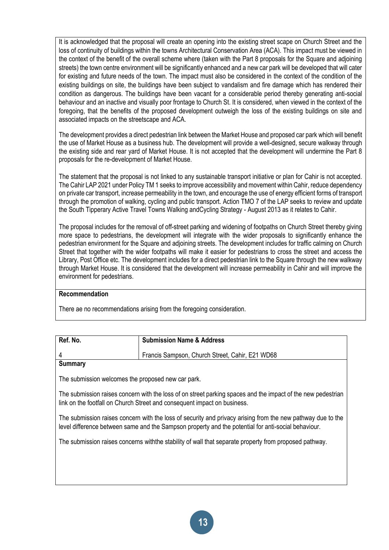It is acknowledged that the proposal will create an opening into the existing street scape on Church Street and the loss of continuity of buildings within the towns Architectural Conservation Area (ACA). This impact must be viewed in the context of the benefit of the overall scheme where (taken with the Part 8 proposals for the Square and adjoining streets) the town centre environment will be significantly enhanced and a new car park will be developed that will cater for existing and future needs of the town. The impact must also be considered in the context of the condition of the existing buildings on site, the buildings have been subject to vandalism and fire damage which has rendered their condition as dangerous. The buildings have been vacant for a considerable period thereby generating anti-social behaviour and an inactive and visually poor frontage to Church St. It is considered, when viewed in the context of the foregoing, that the benefits of the proposed development outweigh the loss of the existing buildings on site and associated impacts on the streetscape and ACA.

The development provides a direct pedestrian link between the Market House and proposed car park which will benefit the use of Market House as a business hub. The development will provide a well-designed, secure walkway through the existing side and rear yard of Market House. It is not accepted that the development will undermine the Part 8 proposals for the re-development of Market House.

The statement that the proposal is not linked to any sustainable transport initiative or plan for Cahir is not accepted. The Cahir LAP 2021 under Policy TM 1 seeks to improve accessibility and movement within Cahir, reduce dependency on private car transport, increase permeability in the town, and encourage the use of energy efficient forms of transport through the promotion of walking, cycling and public transport. Action TMO 7 of the LAP seeks to review and update the South Tipperary Active Travel Towns Walking andCycling Strategy - August 2013 as it relates to Cahir.

The proposal includes for the removal of off-street parking and widening of footpaths on Church Street thereby giving more space to pedestrians, the development will integrate with the wider proposals to significantly enhance the pedestrian environment for the Square and adjoining streets. The development includes for traffic calming on Church Street that together with the wider footpaths will make it easier for pedestrians to cross the street and access the Library, Post Office etc. The development includes for a direct pedestrian link to the Square through the new walkway through Market House. It is considered that the development will increase permeability in Cahir and will improve the environment for pedestrians.

#### **Recommendation**

There ae no recommendations arising from the foregoing consideration.

| Ref. No. | <b>Submission Name &amp; Address</b>            |
|----------|-------------------------------------------------|
|          | Francis Sampson, Church Street, Cahir, E21 WD68 |
| Summarv  |                                                 |

The submission welcomes the proposed new car park.

The submission raises concern with the loss of on street parking spaces and the impact of the new pedestrian link on the footfall on Church Street and consequent impact on business.

The submission raises concern with the loss of security and privacy arising from the new pathway due to the level difference between same and the Sampson property and the potential for anti-social behaviour.

The submission raises concerns withthe stability of wall that separate property from proposed pathway.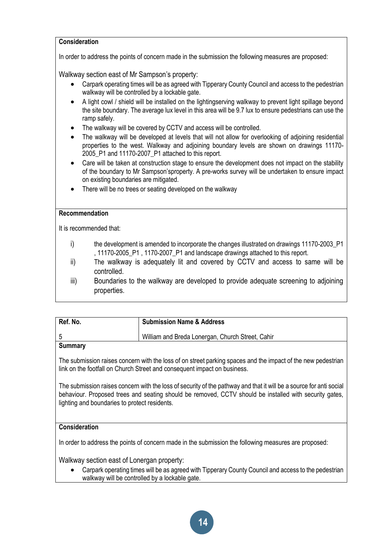# **Consideration**

In order to address the points of concern made in the submission the following measures are proposed:

Walkway section east of Mr Sampson's property:

- Carpark operating times will be as agreed with Tipperary County Council and access to the pedestrian walkway will be controlled by a lockable gate.
- A light cowl / shield will be installed on the lightingserving walkway to prevent light spillage beyond the site boundary. The average lux level in this area will be 9.7 lux to ensure pedestrians can use the ramp safely.
- The walkway will be covered by CCTV and access will be controlled.
- The walkway will be developed at levels that will not allow for overlooking of adjoining residential properties to the west. Walkway and adjoining boundary levels are shown on drawings 11170- 2005 P1 and 11170-2007 P1 attached to this report.
- Care will be taken at construction stage to ensure the development does not impact on the stability of the boundary to Mr Sampson'sproperty. A pre-works survey will be undertaken to ensure impact on existing boundaries are mitigated.
- There will be no trees or seating developed on the walkway

# **Recommendation**

It is recommended that:

- i) the development is amended to incorporate the changes illustrated on drawings 11170-2003\_P1 , 11170-2005\_P1 , 1170-2007\_P1 and landscape drawings attached to this report.
- ii) The walkway is adequately lit and covered by CCTV and access to same will be controlled.
- iii) Boundaries to the walkway are developed to provide adequate screening to adjoining properties.

| Ref. No. | <b>Submission Name &amp; Address</b>             |
|----------|--------------------------------------------------|
|          | William and Breda Lonergan, Church Street, Cahir |
|          |                                                  |

# **Summary**

The submission raises concern with the loss of on street parking spaces and the impact of the new pedestrian link on the footfall on Church Street and consequent impact on business.

The submission raises concern with the loss of security of the pathway and that it will be a source for anti social behaviour. Proposed trees and seating should be removed, CCTV should be installed with security gates, lighting and boundaries to protect residents.

# **Consideration**

In order to address the points of concern made in the submission the following measures are proposed:

Walkway section east of Lonergan property:

• Carpark operating times will be as agreed with Tipperary County Council and access to the pedestrian walkway will be controlled by a lockable gate.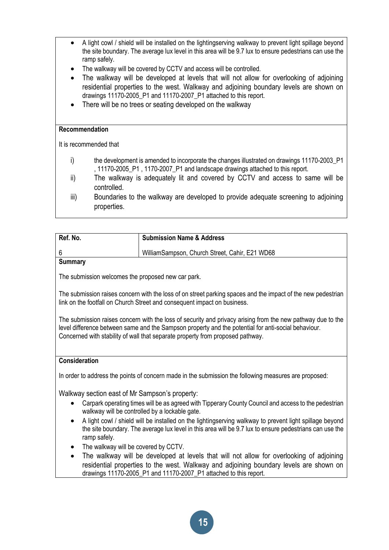- A light cowl / shield will be installed on the lightingserving walkway to prevent light spillage beyond the site boundary. The average lux level in this area will be 9.7 lux to ensure pedestrians can use the ramp safely.
- The walkway will be covered by CCTV and access will be controlled.
- The walkway will be developed at levels that will not allow for overlooking of adjoining residential properties to the west. Walkway and adjoining boundary levels are shown on drawings 11170-2005\_P1 and 11170-2007\_P1 attached to this report.
- There will be no trees or seating developed on the walkway

### **Recommendation**

It is recommended that

- i) the development is amended to incorporate the changes illustrated on drawings 11170-2003\_P1 , 11170-2005\_P1 , 1170-2007\_P1 and landscape drawings attached to this report.
- ii) The walkway is adequately lit and covered by CCTV and access to same will be controlled.
- iii) Boundaries to the walkway are developed to provide adequate screening to adjoining properties.

| Ref. No. | <b>Submission Name &amp; Address</b>           |
|----------|------------------------------------------------|
|          | WilliamSampson, Church Street, Cahir, E21 WD68 |
| Summary  |                                                |

**Summary**

The submission welcomes the proposed new car park.

The submission raises concern with the loss of on street parking spaces and the impact of the new pedestrian link on the footfall on Church Street and consequent impact on business.

The submission raises concern with the loss of security and privacy arising from the new pathway due to the level difference between same and the Sampson property and the potential for anti-social behaviour. Concerned with stability of wall that separate property from proposed pathway.

# **Consideration**

In order to address the points of concern made in the submission the following measures are proposed:

Walkway section east of Mr Sampson's property:

- Carpark operating times will be as agreed with Tipperary County Council and access to the pedestrian walkway will be controlled by a lockable gate.
- A light cowl / shield will be installed on the lighting serving walkway to prevent light spillage beyond the site boundary. The average lux level in this area will be 9.7 lux to ensure pedestrians can use the ramp safely.
- The walkway will be covered by CCTV.
- The walkway will be developed at levels that will not allow for overlooking of adjoining residential properties to the west. Walkway and adjoining boundary levels are shown on drawings 11170-2005\_P1 and 11170-2007\_P1 attached to this report.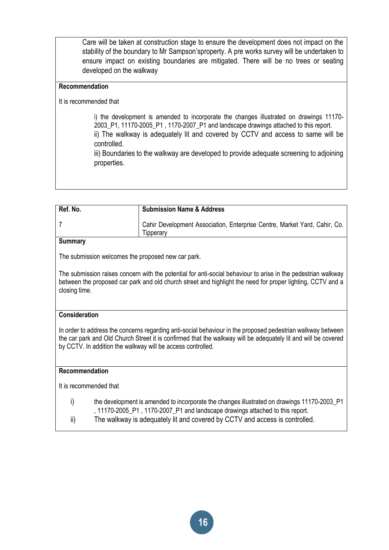Care will be taken at construction stage to ensure the development does not impact on the stability of the boundary to Mr Sampson'sproperty. A pre works survey will be undertaken to ensure impact on existing boundaries are mitigated. There will be no trees or seating developed on the walkway

# **Recommendation**

### It is recommended that

i) the development is amended to incorporate the changes illustrated on drawings 11170- 2003\_P1, 11170-2005\_P1 , 1170-2007\_P1 and landscape drawings attached to this report. ii) The walkway is adequately lit and covered by CCTV and access to same will be controlled.

iii) Boundaries to the walkway are developed to provide adequate screening to adjoining properties.

| Ref. No. | <b>Submission Name &amp; Address</b>                                                   |
|----------|----------------------------------------------------------------------------------------|
|          | Cahir Development Association, Enterprise Centre, Market Yard, Cahir, Co.<br>Tipperary |

# **Summary**

The submission welcomes the proposed new car park.

The submission raises concern with the potential for anti-social behaviour to arise in the pedestrian walkway between the proposed car park and old church street and highlight the need for proper lighting, CCTV and a closing time.

### **Consideration**

In order to address the concerns regarding anti-social behaviour in the proposed pedestrian walkway between the car park and Old Church Street it is confirmed that the walkway will be adequately lit and will be covered by CCTV. In addition the walkway will be access controlled.

### **Recommendation**

It is recommended that

- i) the development is amended to incorporate the changes illustrated on drawings 11170-2003\_P1 , 11170-2005\_P1 , 1170-2007\_P1 and landscape drawings attached to this report.
- ii) The walkway is adequately lit and covered by CCTV and access is controlled.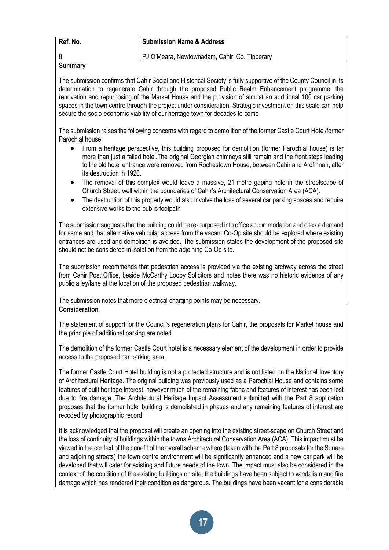| Ref. No. | <b>Submission Name &amp; Address</b>          |
|----------|-----------------------------------------------|
|          | PJ O'Meara, Newtownadam, Cahir, Co. Tipperary |
| Summary  |                                               |

#### **Summary**

The submission confirms that Cahir Social and Historical Society is fully supportive of the County Council in its determination to regenerate Cahir through the proposed Public Realm Enhancement programme, the renovation and repurposing of the Market House and the provision of almost an additional 100 car parking spaces in the town centre through the project under consideration. Strategic investment on this scale can help secure the socio-economic viability of our heritage town for decades to come

The submission raises the following concerns with regard to demolition of the former Castle Court Hotel/former Parochial house:

- From a heritage perspective, this building proposed for demolition (former Parochial house) is far more than just a failed hotel.The original Georgian chimneys still remain and the front steps leading to the old hotel entrance were removed from Rochestown House, between Cahir and Ardfinnan, after its destruction in 1920.
- The removal of this complex would leave a massive, 21-metre gaping hole in the streetscape of Church Street, well within the boundaries of Cahir's Architectural Conservation Area (ACA).
- The destruction of this property would also involve the loss of several car parking spaces and require extensive works to the public footpath

The submission suggests that the building could be re-purposed into office accommodation and cites a demand for same and that alternative vehicular access from the vacant Co-Op site should be explored where existing entrances are used and demolition is avoided. The submission states the development of the proposed site should not be considered in isolation from the adjoining Co-Op site.

The submission recommends that pedestrian access is provided via the existing archway across the street from Cahir Post Office, beside McCarthy Looby Solicitors and notes there was no historic evidence of any public alley/lane at the location of the proposed pedestrian walkway.

# The submission notes that more electrical charging points may be necessary.

### **Consideration**

The statement of support for the Council's regeneration plans for Cahir, the proposals for Market house and the principle of additional parking are noted.

The demolition of the former Castle Court hotel is a necessary element of the development in order to provide access to the proposed car parking area.

The former Castle Court Hotel building is not a protected structure and is not listed on the National Inventory of Architectural Heritage. The original building was previously used as a Parochial House and contains some features of built heritage interest, however much of the remaining fabric and features of interest has been lost due to fire damage. The Architectural Heritage Impact Assessment submitted with the Part 8 application proposes that the former hotel building is demolished in phases and any remaining features of interest are recoded by photographic record.

It is acknowledged that the proposal will create an opening into the existing street-scape on Church Street and the loss of continuity of buildings within the towns Architectural Conservation Area (ACA). This impact must be viewed in the context of the benefit of the overall scheme where (taken with the Part 8 proposals for the Square and adjoining streets) the town centre environment will be significantly enhanced and a new car park will be developed that will cater for existing and future needs of the town. The impact must also be considered in the context of the condition of the existing buildings on site, the buildings have been subject to vandalism and fire damage which has rendered their condition as dangerous. The buildings have been vacant for a considerable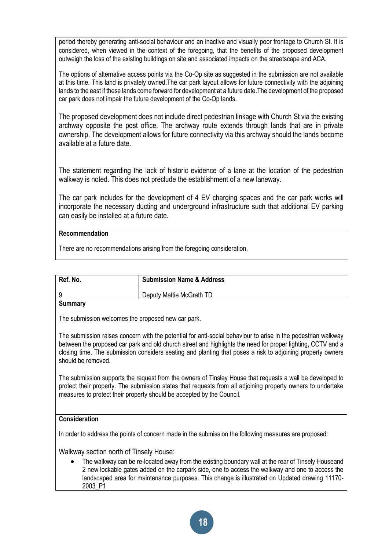period thereby generating anti-social behaviour and an inactive and visually poor frontage to Church St. It is considered, when viewed in the context of the foregoing, that the benefits of the proposed development outweigh the loss of the existing buildings on site and associated impacts on the streetscape and ACA.

The options of alternative access points via the Co-Op site as suggested in the submission are not available at this time. This land is privately owned.The car park layout allows for future connectivity with the adjoining lands to the east if these lands come forward for development at a future date.The development of the proposed car park does not impair the future development of the Co-Op lands.

The proposed development does not include direct pedestrian linkage with Church St via the existing archway opposite the post office. The archway route extends through lands that are in private ownership. The development allows for future connectivity via this archway should the lands become available at a future date.

The statement regarding the lack of historic evidence of a lane at the location of the pedestrian walkway is noted. This does not preclude the establishment of a new laneway.

The car park includes for the development of 4 EV charging spaces and the car park works will incorporate the necessary ducting and underground infrastructure such that additional EV parking can easily be installed at a future date.

# **Recommendation**

There are no recommendations arising from the foregoing consideration.

| Ref. No. | <b>Submission Name &amp; Address</b> |
|----------|--------------------------------------|
|          | Deputy Mattie McGrath TD             |

**Summary**

The submission welcomes the proposed new car park.

The submission raises concern with the potential for anti-social behaviour to arise in the pedestrian walkway between the proposed car park and old church street and highlights the need for proper lighting, CCTV and a closing time. The submission considers seating and planting that poses a risk to adjoining property owners should be removed.

The submission supports the request from the owners of Tinsley House that requests a wall be developed to protect their property. The submission states that requests from all adjoining property owners to undertake measures to protect their property should be accepted by the Council.

# **Consideration**

In order to address the points of concern made in the submission the following measures are proposed:

Walkway section north of Tinsely House:

• The walkway can be re-located away from the existing boundary wall at the rear of Tinsely Houseand 2 new lockable gates added on the carpark side, one to access the walkway and one to access the landscaped area for maintenance purposes. This change is illustrated on Updated drawing 11170- 2003\_P1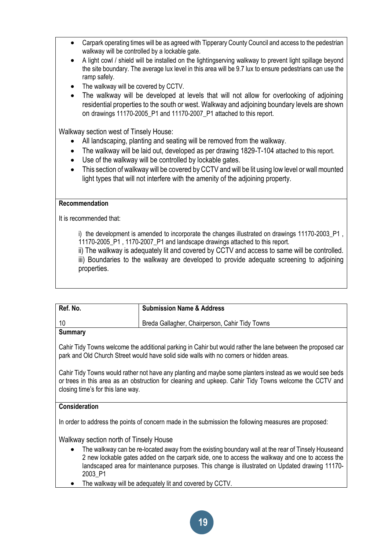- Carpark operating times will be as agreed with Tipperary County Council and access to the pedestrian walkway will be controlled by a lockable gate.
- A light cowl / shield will be installed on the lightingserving walkway to prevent light spillage beyond the site boundary. The average lux level in this area will be 9.7 lux to ensure pedestrians can use the ramp safely.
- The walkway will be covered by CCTV.
- The walkway will be developed at levels that will not allow for overlooking of adjoining residential properties to the south or west. Walkway and adjoining boundary levels are shown on drawings 11170-2005 P1 and 11170-2007 P1 attached to this report.

Walkway section west of Tinsely House:

- All landscaping, planting and seating will be removed from the walkway.
- The walkway will be laid out, developed as per drawing 1829-T-104 attached to this report.
- Use of the walkway will be controlled by lockable gates.
- This section of walkway will be covered by CCTV and will be lit using low level or wall mounted light types that will not interfere with the amenity of the adjoining property.

### **Recommendation**

It is recommended that:

i) the development is amended to incorporate the changes illustrated on drawings 11170-2003 P1 11170-2005\_P1 , 1170-2007\_P1 and landscape drawings attached to this report.

ii) The walkway is adequately lit and covered by CCTV and access to same will be controlled. iii) Boundaries to the walkway are developed to provide adequate screening to adjoining properties.

| Ref. No. | <b>Submission Name &amp; Address</b>           |
|----------|------------------------------------------------|
| -10      | Breda Gallagher, Chairperson, Cahir Tidy Towns |
| Summary  |                                                |

#### **Summary**

Cahir Tidy Towns welcome the additional parking in Cahir but would rather the lane between the proposed car park and Old Church Street would have solid side walls with no corners or hidden areas.

Cahir Tidy Towns would rather not have any planting and maybe some planters instead as we would see beds or trees in this area as an obstruction for cleaning and upkeep. Cahir Tidy Towns welcome the CCTV and closing time's for this lane way.

# **Consideration**

In order to address the points of concern made in the submission the following measures are proposed:

Walkway section north of Tinsely House

- The walkway can be re-located away from the existing boundary wall at the rear of Tinsely Houseand 2 new lockable gates added on the carpark side, one to access the walkway and one to access the landscaped area for maintenance purposes. This change is illustrated on Updated drawing 11170- 2003\_P1
- The walkway will be adequately lit and covered by CCTV.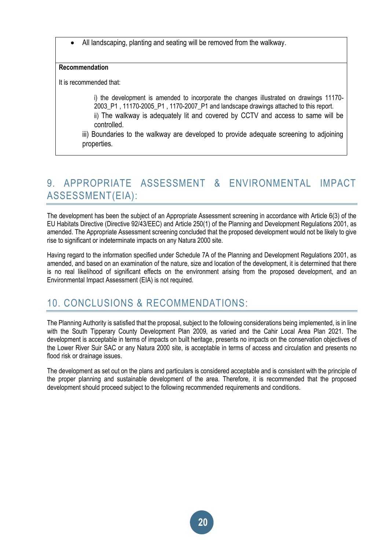• All landscaping, planting and seating will be removed from the walkway.

### **Recommendation**

It is recommended that:

i) the development is amended to incorporate the changes illustrated on drawings 11170- 2003\_P1 , 11170-2005\_P1 , 1170-2007\_P1 and landscape drawings attached to this report. ii) The walkway is adequately lit and covered by CCTV and access to same will be controlled.

iii) Boundaries to the walkway are developed to provide adequate screening to adjoining properties.

# 9. APPROPRIATE ASSESSMENT & ENVIRONMENTAL IMPACT ASSESSMENT(EIA):

The development has been the subject of an Appropriate Assessment screening in accordance with Article 6(3) of the EU Habitats Directive (Directive 92/43/EEC) and Article 250(1) of the Planning and Development Regulations 2001, as amended. The Appropriate Assessment screening concluded that the proposed development would not be likely to give rise to significant or indeterminate impacts on any Natura 2000 site.

Having regard to the information specified under Schedule 7A of the Planning and Development Regulations 2001, as amended, and based on an examination of the nature, size and location of the development, it is determined that there is no real likelihood of significant effects on the environment arising from the proposed development, and an Environmental Impact Assessment (EIA) is not required.

# 10. CONCLUSIONS & RECOMMENDATIONS:

The Planning Authority is satisfied that the proposal, subject to the following considerations being implemented, is in line with the South Tipperary County Development Plan 2009, as varied and the Cahir Local Area Plan 2021. The development is acceptable in terms of impacts on built heritage, presents no impacts on the conservation objectives of the Lower River Suir SAC or any Natura 2000 site, is acceptable in terms of access and circulation and presents no flood risk or drainage issues.

The development as set out on the plans and particulars is considered acceptable and is consistent with the principle of the proper planning and sustainable development of the area. Therefore, it is recommended that the proposed development should proceed subject to the following recommended requirements and conditions.